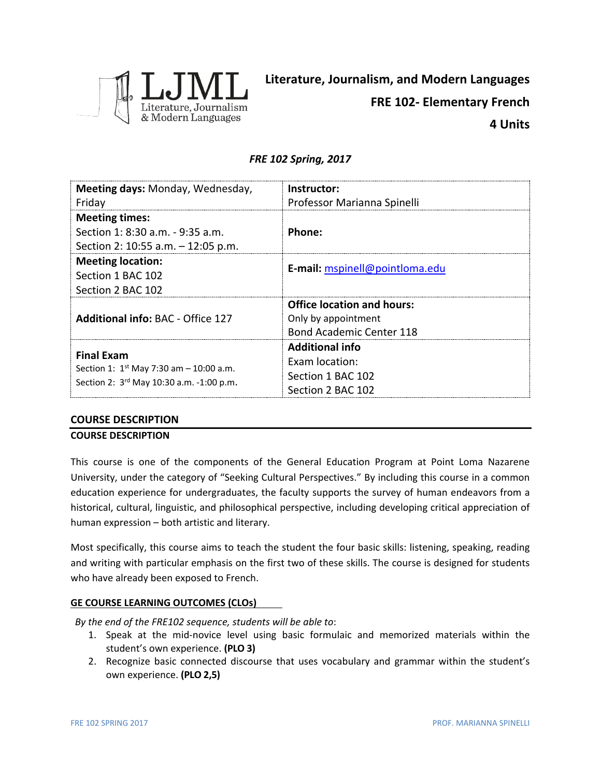

# *FRE 102 Spring, 2017*

| Meeting days: Monday, Wednesday,                                                                              | Instructor:                       |  |
|---------------------------------------------------------------------------------------------------------------|-----------------------------------|--|
| Friday                                                                                                        | Professor Marianna Spinelli       |  |
| <b>Meeting times:</b>                                                                                         |                                   |  |
| Section 1: 8:30 a.m. - 9:35 a.m.                                                                              | Phone:                            |  |
| Section 2: 10:55 a.m. - 12:05 p.m.                                                                            |                                   |  |
| <b>Meeting location:</b>                                                                                      | E-mail: mspinell@pointloma.edu    |  |
| Section 1 BAC 102                                                                                             |                                   |  |
| Section 2 BAC 102                                                                                             |                                   |  |
|                                                                                                               | <b>Office location and hours:</b> |  |
| <b>Additional info: BAC - Office 127</b>                                                                      | Only by appointment               |  |
|                                                                                                               | <b>Bond Academic Center 118</b>   |  |
| <b>Final Exam</b><br>Section 1: $1^{st}$ May 7:30 am - 10:00 a.m.<br>Section 2: 3rd May 10:30 a.m. -1:00 p.m. | <b>Additional info</b>            |  |
|                                                                                                               | <b>Exam location:</b>             |  |
|                                                                                                               | Section 1 BAC 102                 |  |
|                                                                                                               | Section 2 BAC 102                 |  |

## **COURSE DESCRIPTION**

#### **COURSE DESCRIPTION**

This course is one of the components of the General Education Program at Point Loma Nazarene University, under the category of "Seeking Cultural Perspectives." By including this course in a common education experience for undergraduates, the faculty supports the survey of human endeavors from a historical, cultural, linguistic, and philosophical perspective, including developing critical appreciation of human expression – both artistic and literary.

Most specifically, this course aims to teach the student the four basic skills: listening, speaking, reading and writing with particular emphasis on the first two of these skills. The course is designed for students who have already been exposed to French.

## **GE COURSE LEARNING OUTCOMES (CLOs)**

*By the end of the FRE102 sequence, students will be able to*:

- 1. Speak at the mid-novice level using basic formulaic and memorized materials within the student's own experience. **(PLO 3)**
- 2. Recognize basic connected discourse that uses vocabulary and grammar within the student's own experience. **(PLO 2,5)**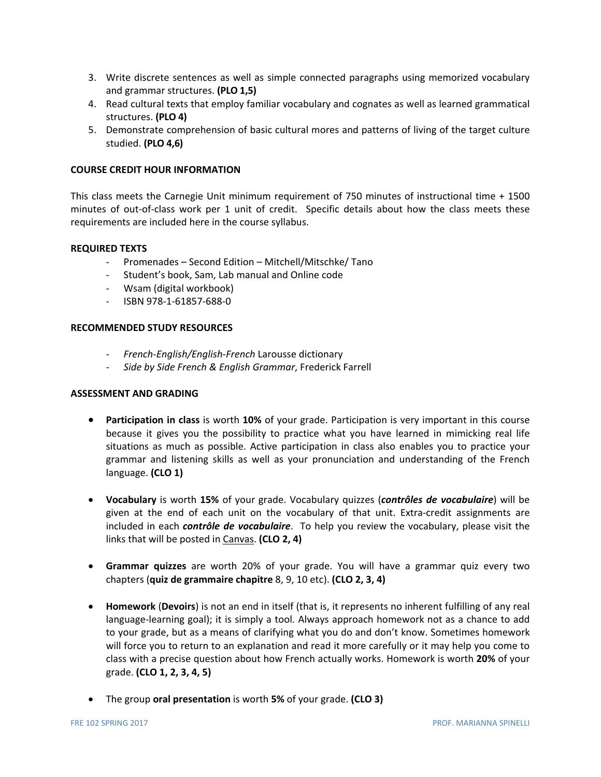- 3. Write discrete sentences as well as simple connected paragraphs using memorized vocabulary and grammar structures. **(PLO 1,5)**
- 4. Read cultural texts that employ familiar vocabulary and cognates as well as learned grammatical structures. **(PLO 4)**
- 5. Demonstrate comprehension of basic cultural mores and patterns of living of the target culture studied. **(PLO 4,6)**

### **COURSE CREDIT HOUR INFORMATION**

This class meets the Carnegie Unit minimum requirement of 750 minutes of instructional time + 1500 minutes of out-of-class work per 1 unit of credit. Specific details about how the class meets these requirements are included here in the course syllabus.

#### **REQUIRED TEXTS**

- Promenades Second Edition Mitchell/Mitschke/ Tano
- Student's book, Sam, Lab manual and Online code
- Wsam (digital workbook)
- ISBN 978-1-61857-688-0

## **RECOMMENDED STUDY RESOURCES**

- *- French-English/English-French* Larousse dictionary
- *- Side by Side French & English Grammar*, Frederick Farrell

### **ASSESSMENT AND GRADING**

- **Participation in class** is worth **10%** of your grade. Participation is very important in this course because it gives you the possibility to practice what you have learned in mimicking real life situations as much as possible. Active participation in class also enables you to practice your grammar and listening skills as well as your pronunciation and understanding of the French language. **(CLO 1)**
- **Vocabulary** is worth **15%** of your grade. Vocabulary quizzes (*contrôles de vocabulaire*) will be given at the end of each unit on the vocabulary of that unit. Extra-credit assignments are included in each *contrôle de vocabulaire*. To help you review the vocabulary, please visit the links that will be posted in Canvas. **(CLO 2, 4)**
- **Grammar quizzes** are worth 20% of your grade. You will have a grammar quiz every two chapters (**quiz de grammaire chapitre** 8, 9, 10 etc). **(CLO 2, 3, 4)**
- **Homework** (**Devoirs**) is not an end in itself (that is, it represents no inherent fulfilling of any real language-learning goal); it is simply a tool. Always approach homework not as a chance to add to your grade, but as a means of clarifying what you do and don't know. Sometimes homework will force you to return to an explanation and read it more carefully or it may help you come to class with a precise question about how French actually works. Homework is worth **20%** of your grade. **(CLO 1, 2, 3, 4, 5)**
- The group **oral presentation** is worth **5%** of your grade. **(CLO 3)**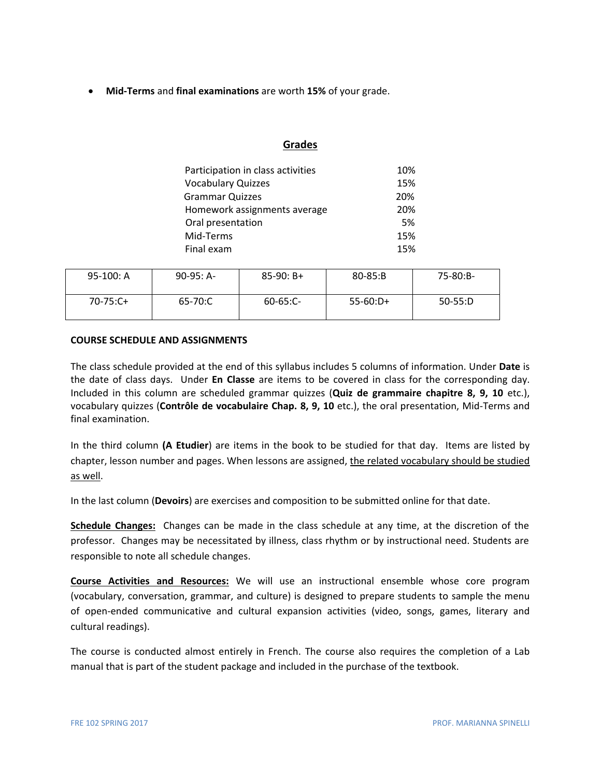• **Mid-Terms** and **final examinations** are worth **15%** of your grade.

## **Grades**

| Participation in class activities | 10% |
|-----------------------------------|-----|
| <b>Vocabulary Quizzes</b>         | 15% |
| <b>Grammar Quizzes</b>            | 20% |
| Homework assignments average      | 20% |
| Oral presentation                 | 5%  |
| Mid-Terms                         | 15% |
| Final exam                        | 15% |

| $95-100: A$ | $90-95: A-$ | $85-90: B+$   | $80 - 85: B$ | 75-80:B-  |
|-------------|-------------|---------------|--------------|-----------|
| $70-75:C+$  | 65-70:C     | $60 - 65:$ C- | $55-60:D+$   | $50-55:D$ |

## **COURSE SCHEDULE AND ASSIGNMENTS**

The class schedule provided at the end of this syllabus includes 5 columns of information. Under **Date** is the date of class days. Under **En Classe** are items to be covered in class for the corresponding day. Included in this column are scheduled grammar quizzes (**Quiz de grammaire chapitre 8, 9, 10** etc.), vocabulary quizzes (**Contrôle de vocabulaire Chap. 8, 9, 10** etc.), the oral presentation, Mid-Terms and final examination.

In the third column **(A Etudier**) are items in the book to be studied for that day. Items are listed by chapter, lesson number and pages. When lessons are assigned, the related vocabulary should be studied as well.

In the last column (**Devoirs**) are exercises and composition to be submitted online for that date.

**Schedule Changes:** Changes can be made in the class schedule at any time, at the discretion of the professor. Changes may be necessitated by illness, class rhythm or by instructional need. Students are responsible to note all schedule changes.

**Course Activities and Resources:** We will use an instructional ensemble whose core program (vocabulary, conversation, grammar, and culture) is designed to prepare students to sample the menu of open-ended communicative and cultural expansion activities (video, songs, games, literary and cultural readings).

The course is conducted almost entirely in French. The course also requires the completion of a Lab manual that is part of the student package and included in the purchase of the textbook.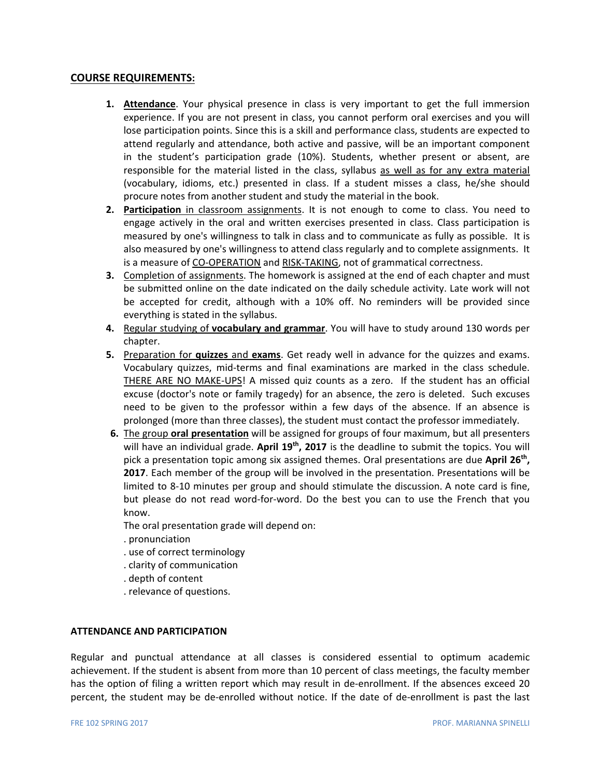## **COURSE REQUIREMENTS:**

- **1. Attendance**. Your physical presence in class is very important to get the full immersion experience. If you are not present in class, you cannot perform oral exercises and you will lose participation points. Since this is a skill and performance class, students are expected to attend regularly and attendance, both active and passive, will be an important component in the student's participation grade (10%). Students, whether present or absent, are responsible for the material listed in the class, syllabus as well as for any extra material (vocabulary, idioms, etc.) presented in class. If a student misses a class, he/she should procure notes from another student and study the material in the book.
- **2. Participation** in classroom assignments. It is not enough to come to class. You need to engage actively in the oral and written exercises presented in class. Class participation is measured by one's willingness to talk in class and to communicate as fully as possible. It is also measured by one's willingness to attend class regularly and to complete assignments. It is a measure of CO-OPERATION and RISK-TAKING, not of grammatical correctness.
- **3.** Completion of assignments. The homework is assigned at the end of each chapter and must be submitted online on the date indicated on the daily schedule activity. Late work will not be accepted for credit, although with a 10% off. No reminders will be provided since everything is stated in the syllabus.
- **4.** Regular studying of **vocabulary and grammar**. You will have to study around 130 words per chapter.
- **5.** Preparation for **quizzes** and **exams**. Get ready well in advance for the quizzes and exams. Vocabulary quizzes, mid-terms and final examinations are marked in the class schedule. THERE ARE NO MAKE-UPS! A missed quiz counts as a zero. If the student has an official excuse (doctor's note or family tragedy) for an absence, the zero is deleted. Such excuses need to be given to the professor within a few days of the absence. If an absence is prolonged (more than three classes), the student must contact the professor immediately.
- **6.** The group **oral presentation** will be assigned for groups of four maximum, but all presenters will have an individual grade. **April 19th, 2017** is the deadline to submit the topics. You will pick a presentation topic among six assigned themes. Oral presentations are due **April 26th, 2017**. Each member of the group will be involved in the presentation. Presentations will be limited to 8-10 minutes per group and should stimulate the discussion. A note card is fine, but please do not read word-for-word. Do the best you can to use the French that you know.

The oral presentation grade will depend on:

- . pronunciation
- . use of correct terminology
- . clarity of communication
- . depth of content
- . relevance of questions.

### **ATTENDANCE AND PARTICIPATION**

Regular and punctual attendance at all classes is considered essential to optimum academic achievement. If the student is absent from more than 10 percent of class meetings, the faculty member has the option of filing a written report which may result in de-enrollment. If the absences exceed 20 percent, the student may be de-enrolled without notice. If the date of de-enrollment is past the last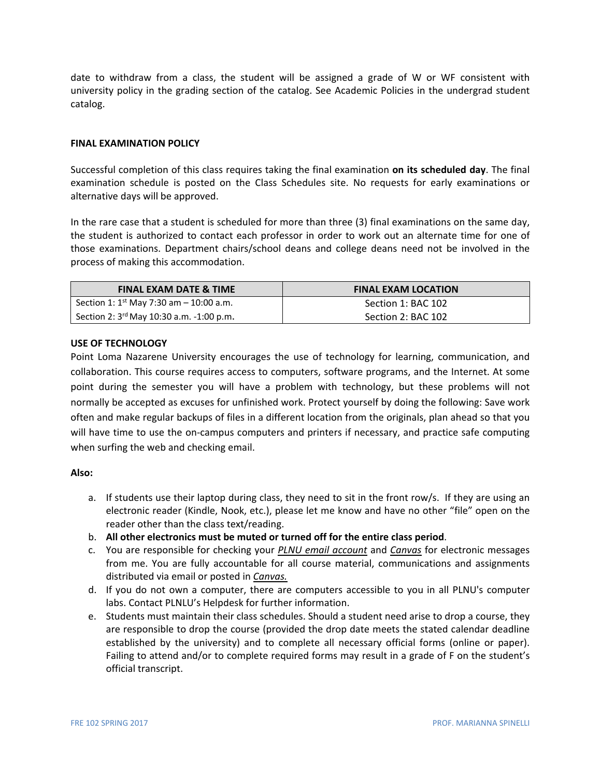date to withdraw from a class, the student will be assigned a grade of W or WF consistent with university policy in the grading section of the catalog. See Academic Policies in the undergrad student catalog.

## **FINAL EXAMINATION POLICY**

Successful completion of this class requires taking the final examination **on its scheduled day**. The final examination schedule is posted on the Class Schedules site. No requests for early examinations or alternative days will be approved.

In the rare case that a student is scheduled for more than three (3) final examinations on the same day, the student is authorized to contact each professor in order to work out an alternate time for one of those examinations. Department chairs/school deans and college deans need not be involved in the process of making this accommodation.

| <b>FINAL EXAM DATE &amp; TIME</b>                    | <b>FINAL EXAM LOCATION</b> |
|------------------------------------------------------|----------------------------|
| Section 1: $1^{\text{st}}$ May 7:30 am - 10:00 a.m.  | Section 1: BAC 102         |
| Section 2: 3 <sup>rd</sup> May 10:30 a.m. -1:00 p.m. | Section 2: BAC 102         |

#### **USE OF TECHNOLOGY**

Point Loma Nazarene University encourages the use of technology for learning, communication, and collaboration. This course requires access to computers, software programs, and the Internet. At some point during the semester you will have a problem with technology, but these problems will not normally be accepted as excuses for unfinished work. Protect yourself by doing the following: Save work often and make regular backups of files in a different location from the originals, plan ahead so that you will have time to use the on-campus computers and printers if necessary, and practice safe computing when surfing the web and checking email.

#### **Also:**

- a. If students use their laptop during class, they need to sit in the front row/s. If they are using an electronic reader (Kindle, Nook, etc.), please let me know and have no other "file" open on the reader other than the class text/reading.
- b. **All other electronics must be muted or turned off for the entire class period**.
- c. You are responsible for checking your *PLNU email account* and *Canvas* for electronic messages from me. You are fully accountable for all course material, communications and assignments distributed via email or posted in *Canvas.*
- d. If you do not own a computer, there are computers accessible to you in all PLNU's computer labs. Contact PLNLU's Helpdesk for further information.
- e. Students must maintain their class schedules. Should a student need arise to drop a course, they are responsible to drop the course (provided the drop date meets the stated calendar deadline established by the university) and to complete all necessary official forms (online or paper). Failing to attend and/or to complete required forms may result in a grade of F on the student's official transcript.